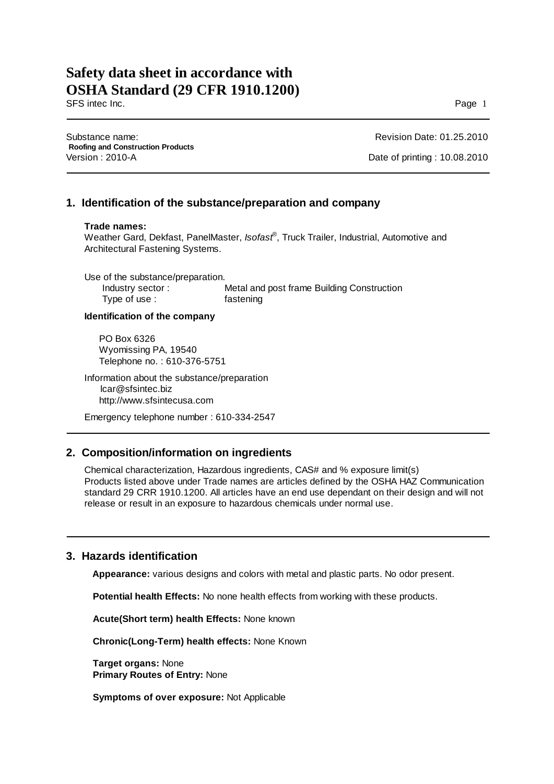SFS intec Inc. Page 1

Substance name: **Roofing and Construction Products** Version : 2010-A Date of printing : 10.08.2010

Revision Date: 01.25.2010

### **1. Identification of the substance/preparation and company**

### **Trade names:**

Weather Gard, Dekfast, PanelMaster, *Isofast*® , Truck Trailer, Industrial, Automotive and Architectural Fastening Systems.

Use of the substance/preparation.<br>Industry sector: Metal and post frame Building Construction Type of use : fastening

### **Identification of the company**

PO Box 6326 Wyomissing PA, 19540 Telephone no. : 610-376-5751

Information about the substance/preparation lcar@sfsintec.biz http://www.sfsintecusa.com

Emergency telephone number : 610-334-2547

## **2. Composition/information on ingredients**

Chemical characterization, Hazardous ingredients, CAS# and % exposure limit(s) Products listed above under Trade names are articles defined by the OSHA HAZ Communication standard 29 CRR 1910.1200. All articles have an end use dependant on their design and will not release or result in an exposure to hazardous chemicals under normal use.

## **3. Hazards identification**

**Appearance:** various designs and colors with metal and plastic parts. No odor present.

**Potential health Effects:** No none health effects from working with these products.

**Acute(Short term) health Effects:** None known

**Chronic(Long-Term) health effects:** None Known

 **Target organs:** None **Primary Routes of Entry:** None

 **Symptoms of over exposure:** Not Applicable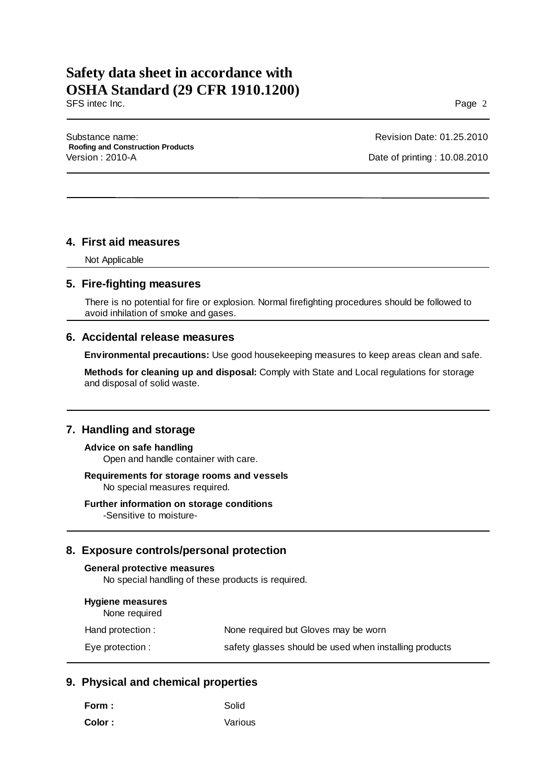SFS intec Inc. Page 2

Substance name: **Roofing and Construction Products** Version : 2010-A Date of printing : 10.08.2010

Revision Date: 01.25.2010

### **4. First aid measures**

Not Applicable

### **5. Fire-fighting measures**

 There is no potential for fire or explosion. Normal firefighting procedures should be followed to avoid inhilation of smoke and gases.

### **6. Accidental release measures**

**Environmental precautions:** Use good housekeeping measures to keep areas clean and safe.

**Methods for cleaning up and disposal:** Comply with State and Local regulations for storage and disposal of solid waste.

### **7. Handling and storage**

**Advice on safe handling** Open and handle container with care.

### **Requirements for storage rooms and vessels** No special measures required.

**Further information on storage conditions**

-Sensitive to moisture-

### **8. Exposure controls/personal protection**

### **General protective measures**

No special handling of these products is required.

| <b>Hygiene measures</b><br>None required |                                                        |
|------------------------------------------|--------------------------------------------------------|
| Hand protection :                        | None required but Gloves may be worn                   |
| Eye protection :                         | safety glasses should be used when installing products |

## **9. Physical and chemical properties**

| Form :  | Solid   |
|---------|---------|
| Color : | Various |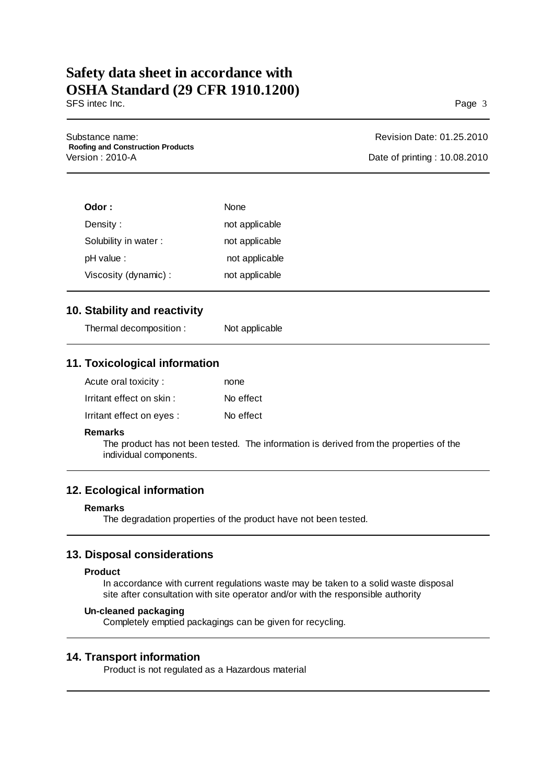SFS intec Inc. Page 3

Substance name: **Roofing and Construction Products** Version : 2010-A Date of printing : 10.08.2010

Revision Date: 01.25.2010

| Odor :               | None           |
|----------------------|----------------|
| Density:             | not applicable |
| Solubility in water: | not applicable |
| pH value:            | not applicable |
| Viscosity (dynamic): | not applicable |

## **10. Stability and reactivity**

Thermal decomposition : Not applicable

# **11. Toxicological information**

| Acute oral toxicity:      | none      |
|---------------------------|-----------|
| Irritant effect on skin:  | No effect |
| Irritant effect on eyes : | No effect |

### **Remarks**

The product has not been tested. The information is derived from the properties of the individual components.

# **12. Ecological information**

### **Remarks**

The degradation properties of the product have not been tested.

## **13. Disposal considerations**

### **Product**

In accordance with current regulations waste may be taken to a solid waste disposal site after consultation with site operator and/or with the responsible authority

### **Un-cleaned packaging**

Completely emptied packagings can be given for recycling.

### **14. Transport information**

Product is not regulated as a Hazardous material